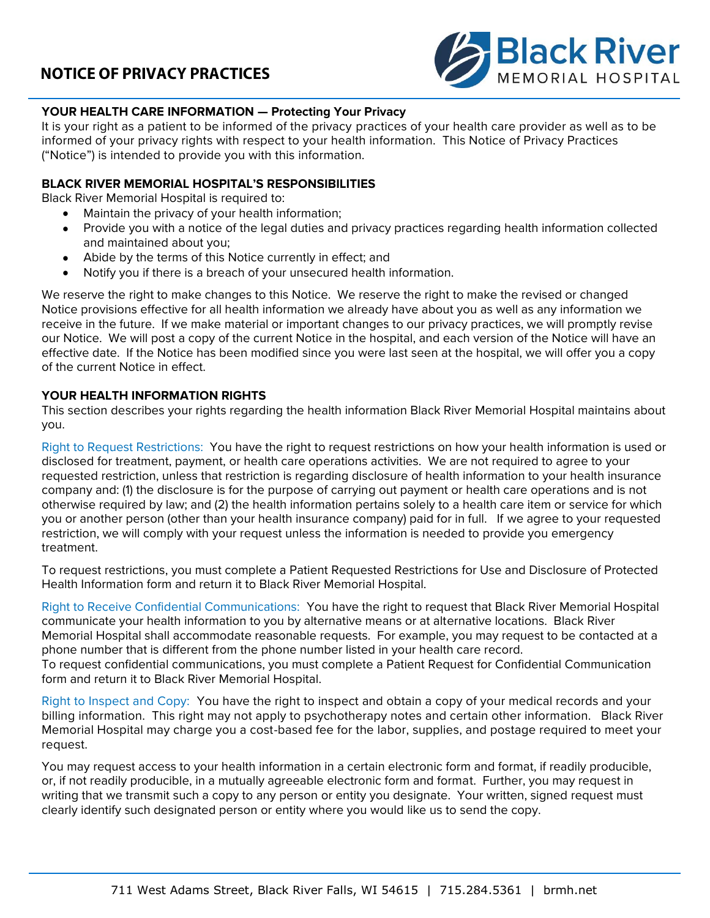

### **YOUR HEALTH CARE INFORMATION — Protecting Your Privacy**

It is your right as a patient to be informed of the privacy practices of your health care provider as well as to be informed of your privacy rights with respect to your health information. This Notice of Privacy Practices ("Notice") is intended to provide you with this information.

#### **BLACK RIVER MEMORIAL HOSPITAL'S RESPONSIBILITIES**

Black River Memorial Hospital is required to:

- Maintain the privacy of your health information;
- Provide you with a notice of the legal duties and privacy practices regarding health information collected and maintained about you;
- Abide by the terms of this Notice currently in effect; and
- Notify you if there is a breach of your unsecured health information.

We reserve the right to make changes to this Notice. We reserve the right to make the revised or changed Notice provisions effective for all health information we already have about you as well as any information we receive in the future. If we make material or important changes to our privacy practices, we will promptly revise our Notice. We will post a copy of the current Notice in the hospital, and each version of the Notice will have an effective date. If the Notice has been modified since you were last seen at the hospital, we will offer you a copy of the current Notice in effect.

#### **YOUR HEALTH INFORMATION RIGHTS**

This section describes your rights regarding the health information Black River Memorial Hospital maintains about you.

Right to Request Restrictions: You have the right to request restrictions on how your health information is used or disclosed for treatment, payment, or health care operations activities. We are not required to agree to your requested restriction, unless that restriction is regarding disclosure of health information to your health insurance company and: (1) the disclosure is for the purpose of carrying out payment or health care operations and is not otherwise required by law; and (2) the health information pertains solely to a health care item or service for which you or another person (other than your health insurance company) paid for in full. If we agree to your requested restriction, we will comply with your request unless the information is needed to provide you emergency treatment.

To request restrictions, you must complete a Patient Requested Restrictions for Use and Disclosure of Protected Health Information form and return it to Black River Memorial Hospital.

Right to Receive Confidential Communications: You have the right to request that Black River Memorial Hospital communicate your health information to you by alternative means or at alternative locations. Black River Memorial Hospital shall accommodate reasonable requests. For example, you may request to be contacted at a phone number that is different from the phone number listed in your health care record.

To request confidential communications, you must complete a Patient Request for Confidential Communication form and return it to Black River Memorial Hospital.

Right to Inspect and Copy: You have the right to inspect and obtain a copy of your medical records and your billing information. This right may not apply to psychotherapy notes and certain other information. Black River Memorial Hospital may charge you a cost-based fee for the labor, supplies, and postage required to meet your request.

You may request access to your health information in a certain electronic form and format, if readily producible, or, if not readily producible, in a mutually agreeable electronic form and format. Further, you may request in writing that we transmit such a copy to any person or entity you designate. Your written, signed request must clearly identify such designated person or entity where you would like us to send the copy.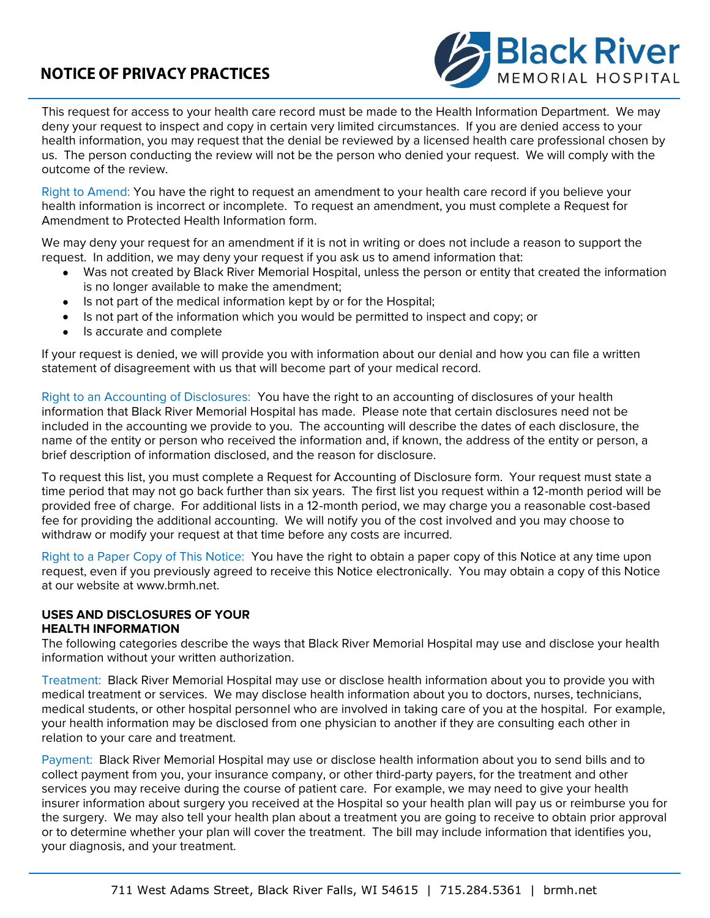

This request for access to your health care record must be made to the Health Information Department. We may deny your request to inspect and copy in certain very limited circumstances. If you are denied access to your health information, you may request that the denial be reviewed by a licensed health care professional chosen by us. The person conducting the review will not be the person who denied your request. We will comply with the outcome of the review.

Right to Amend: You have the right to request an amendment to your health care record if you believe your health information is incorrect or incomplete. To request an amendment, you must complete a Request for Amendment to Protected Health Information form.

We may deny your request for an amendment if it is not in writing or does not include a reason to support the request. In addition, we may deny your request if you ask us to amend information that:

- Was not created by Black River Memorial Hospital, unless the person or entity that created the information is no longer available to make the amendment;
- Is not part of the medical information kept by or for the Hospital;
- Is not part of the information which you would be permitted to inspect and copy; or
- Is accurate and complete

If your request is denied, we will provide you with information about our denial and how you can file a written statement of disagreement with us that will become part of your medical record.

Right to an Accounting of Disclosures: You have the right to an accounting of disclosures of your health information that Black River Memorial Hospital has made. Please note that certain disclosures need not be included in the accounting we provide to you. The accounting will describe the dates of each disclosure, the name of the entity or person who received the information and, if known, the address of the entity or person, a brief description of information disclosed, and the reason for disclosure.

To request this list, you must complete a Request for Accounting of Disclosure form. Your request must state a time period that may not go back further than six years. The first list you request within a 12-month period will be provided free of charge. For additional lists in a 12-month period, we may charge you a reasonable cost-based fee for providing the additional accounting. We will notify you of the cost involved and you may choose to withdraw or modify your request at that time before any costs are incurred.

Right to a Paper Copy of This Notice: You have the right to obtain a paper copy of this Notice at any time upon request, even if you previously agreed to receive this Notice electronically. You may obtain a copy of this Notice at our website at www.brmh.net.

### **USES AND DISCLOSURES OF YOUR**

### **HEALTH INFORMATION**

The following categories describe the ways that Black River Memorial Hospital may use and disclose your health information without your written authorization.

Treatment: Black River Memorial Hospital may use or disclose health information about you to provide you with medical treatment or services. We may disclose health information about you to doctors, nurses, technicians, medical students, or other hospital personnel who are involved in taking care of you at the hospital. For example, your health information may be disclosed from one physician to another if they are consulting each other in relation to your care and treatment.

Payment: Black River Memorial Hospital may use or disclose health information about you to send bills and to collect payment from you, your insurance company, or other third-party payers, for the treatment and other services you may receive during the course of patient care. For example, we may need to give your health insurer information about surgery you received at the Hospital so your health plan will pay us or reimburse you for the surgery. We may also tell your health plan about a treatment you are going to receive to obtain prior approval or to determine whether your plan will cover the treatment. The bill may include information that identifies you, your diagnosis, and your treatment.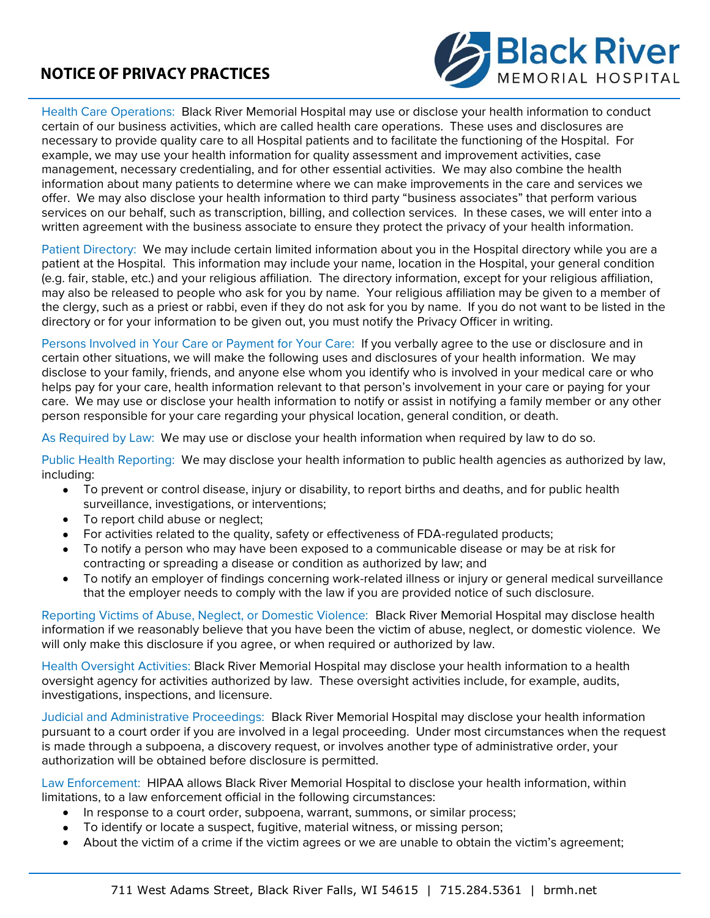

Health Care Operations: Black River Memorial Hospital may use or disclose your health information to conduct certain of our business activities, which are called health care operations. These uses and disclosures are necessary to provide quality care to all Hospital patients and to facilitate the functioning of the Hospital. For example, we may use your health information for quality assessment and improvement activities, case management, necessary credentialing, and for other essential activities. We may also combine the health information about many patients to determine where we can make improvements in the care and services we offer. We may also disclose your health information to third party "business associates" that perform various services on our behalf, such as transcription, billing, and collection services. In these cases, we will enter into a written agreement with the business associate to ensure they protect the privacy of your health information.

Patient Directory: We may include certain limited information about you in the Hospital directory while you are a patient at the Hospital. This information may include your name, location in the Hospital, your general condition (e.g. fair, stable, etc.) and your religious affiliation. The directory information, except for your religious affiliation, may also be released to people who ask for you by name. Your religious affiliation may be given to a member of the clergy, such as a priest or rabbi, even if they do not ask for you by name. If you do not want to be listed in the directory or for your information to be given out, you must notify the Privacy Officer in writing.

Persons Involved in Your Care or Payment for Your Care: If you verbally agree to the use or disclosure and in certain other situations, we will make the following uses and disclosures of your health information. We may disclose to your family, friends, and anyone else whom you identify who is involved in your medical care or who helps pay for your care, health information relevant to that person's involvement in your care or paying for your care. We may use or disclose your health information to notify or assist in notifying a family member or any other person responsible for your care regarding your physical location, general condition, or death.

As Required by Law: We may use or disclose your health information when required by law to do so.

Public Health Reporting: We may disclose your health information to public health agencies as authorized by law, including:

- To prevent or control disease, injury or disability, to report births and deaths, and for public health surveillance, investigations, or interventions;
- To report child abuse or neglect;
- For activities related to the quality, safety or effectiveness of FDA-regulated products;
- To notify a person who may have been exposed to a communicable disease or may be at risk for contracting or spreading a disease or condition as authorized by law; and
- To notify an employer of findings concerning work-related illness or injury or general medical surveillance that the employer needs to comply with the law if you are provided notice of such disclosure.

Reporting Victims of Abuse, Neglect, or Domestic Violence:Black River Memorial Hospital may disclose health information if we reasonably believe that you have been the victim of abuse, neglect, or domestic violence. We will only make this disclosure if you agree, or when required or authorized by law.

Health Oversight Activities: Black River Memorial Hospital may disclose your health information to a health oversight agency for activities authorized by law. These oversight activities include, for example, audits, investigations, inspections, and licensure.

Judicial and Administrative Proceedings: Black River Memorial Hospital may disclose your health information pursuant to a court order if you are involved in a legal proceeding. Under most circumstances when the request is made through a subpoena, a discovery request, or involves another type of administrative order, your authorization will be obtained before disclosure is permitted.

Law Enforcement: HIPAA allows Black River Memorial Hospital to disclose your health information, within limitations, to a law enforcement official in the following circumstances:

- In response to a court order, subpoena, warrant, summons, or similar process;
- To identify or locate a suspect, fugitive, material witness, or missing person;
- About the victim of a crime if the victim agrees or we are unable to obtain the victim's agreement;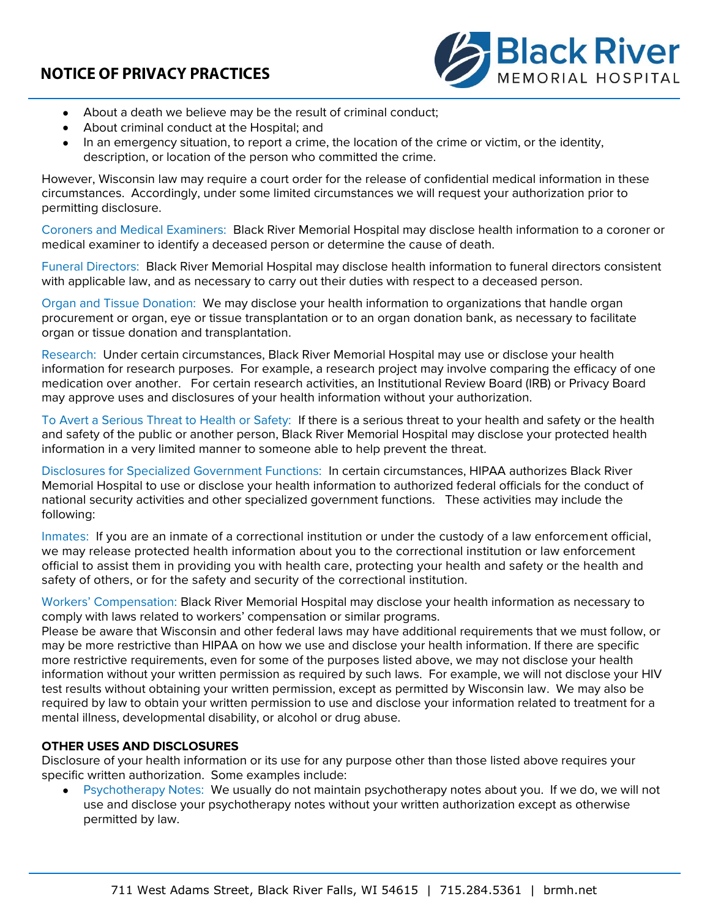

- About a death we believe may be the result of criminal conduct;
- About criminal conduct at the Hospital; and
- In an emergency situation, to report a crime, the location of the crime or victim, or the identity, description, or location of the person who committed the crime.

However, Wisconsin law may require a court order for the release of confidential medical information in these circumstances. Accordingly, under some limited circumstances we will request your authorization prior to permitting disclosure.

Coroners and Medical Examiners: Black River Memorial Hospital may disclose health information to a coroner or medical examiner to identify a deceased person or determine the cause of death.

Funeral Directors: Black River Memorial Hospital may disclose health information to funeral directors consistent with applicable law, and as necessary to carry out their duties with respect to a deceased person.

Organ and Tissue Donation: We may disclose your health information to organizations that handle organ procurement or organ, eye or tissue transplantation or to an organ donation bank, as necessary to facilitate organ or tissue donation and transplantation.

Research: Under certain circumstances, Black River Memorial Hospital may use or disclose your health information for research purposes. For example, a research project may involve comparing the efficacy of one medication over another. For certain research activities, an Institutional Review Board (IRB) or Privacy Board may approve uses and disclosures of your health information without your authorization.

To Avert a Serious Threat to Health or Safety: If there is a serious threat to your health and safety or the health and safety of the public or another person, Black River Memorial Hospital may disclose your protected health information in a very limited manner to someone able to help prevent the threat.

Disclosures for Specialized Government Functions: In certain circumstances, HIPAA authorizes Black River Memorial Hospital to use or disclose your health information to authorized federal officials for the conduct of national security activities and other specialized government functions. These activities may include the following:

Inmates: If you are an inmate of a correctional institution or under the custody of a law enforcement official, we may release protected health information about you to the correctional institution or law enforcement official to assist them in providing you with health care, protecting your health and safety or the health and safety of others, or for the safety and security of the correctional institution.

Workers' Compensation: Black River Memorial Hospital may disclose your health information as necessary to comply with laws related to workers' compensation or similar programs.

Please be aware that Wisconsin and other federal laws may have additional requirements that we must follow, or may be more restrictive than HIPAA on how we use and disclose your health information. If there are specific more restrictive requirements, even for some of the purposes listed above, we may not disclose your health information without your written permission as required by such laws. For example, we will not disclose your HIV test results without obtaining your written permission, except as permitted by Wisconsin law. We may also be required by law to obtain your written permission to use and disclose your information related to treatment for a mental illness, developmental disability, or alcohol or drug abuse.

### **OTHER USES AND DISCLOSURES**

Disclosure of your health information or its use for any purpose other than those listed above requires your specific written authorization. Some examples include:

 Psychotherapy Notes: We usually do not maintain psychotherapy notes about you. If we do, we will not use and disclose your psychotherapy notes without your written authorization except as otherwise permitted by law.